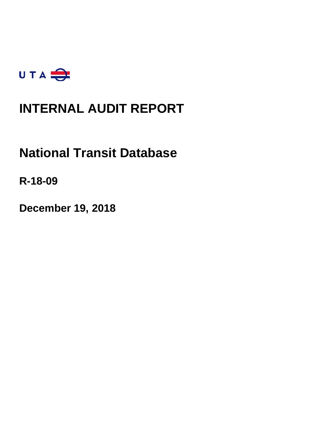

# **INTERNAL AUDIT REPORT**

# **National Transit Database**

**R-18-09**

**December 19, 2018**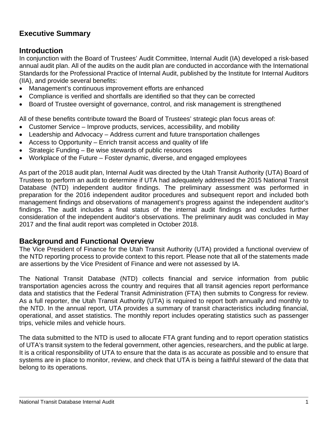# **Executive Summary**

### **Introduction**

In conjunction with the Board of Trustees' Audit Committee, Internal Audit (IA) developed a risk-based annual audit plan. All of the audits on the audit plan are conducted in accordance with the International Standards for the Professional Practice of Internal Audit, published by the Institute for Internal Auditors (IIA), and provide several benefits:

- Management's continuous improvement efforts are enhanced
- Compliance is verified and shortfalls are identified so that they can be corrected
- Board of Trustee oversight of governance, control, and risk management is strengthened

All of these benefits contribute toward the Board of Trustees' strategic plan focus areas of:

- Customer Service Improve products, services, accessibility, and mobility
- Leadership and Advocacy Address current and future transportation challenges
- Access to Opportunity Enrich transit access and quality of life
- Strategic Funding Be wise stewards of public resources
- Workplace of the Future Foster dynamic, diverse, and engaged employees

As part of the 2018 audit plan, Internal Audit was directed by the Utah Transit Authority (UTA) Board of Trustees to perform an audit to determine if UTA had adequately addressed the 2015 National Transit Database (NTD) independent auditor findings. The preliminary assessment was performed in preparation for the 2016 independent auditor procedures and subsequent report and included both management findings and observations of management's progress against the independent auditor's findings. The audit includes a final status of the internal audit findings and excludes further consideration of the independent auditor's observations. The preliminary audit was concluded in May 2017 and the final audit report was completed in October 2018.

### **Background and Functional Overview**

The Vice President of Finance for the Utah Transit Authority (UTA) provided a functional overview of the NTD reporting process to provide context to this report. Please note that all of the statements made are assertions by the Vice President of Finance and were not assessed by IA.

The National Transit Database (NTD) collects financial and service information from public transportation agencies across the country and requires that all transit agencies report performance data and statistics that the Federal Transit Administration (FTA) then submits to Congress for review. As a full reporter, the Utah Transit Authority (UTA) is required to report both annually and monthly to the NTD. In the annual report, UTA provides a summary of transit characteristics including financial, operational, and asset statistics. The monthly report includes operating statistics such as passenger trips, vehicle miles and vehicle hours.

The data submitted to the NTD is used to allocate FTA grant funding and to report operation statistics of UTA's transit system to the federal government, other agencies, researchers, and the public at large. It is a critical responsibility of UTA to ensure that the data is as accurate as possible and to ensure that systems are in place to monitor, review, and check that UTA is being a faithful steward of the data that belong to its operations.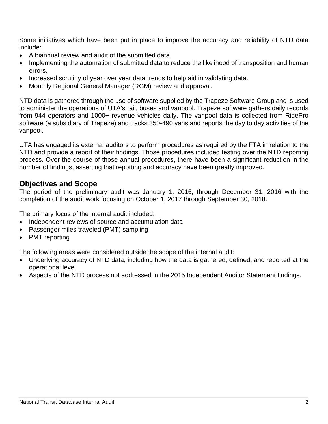Some initiatives which have been put in place to improve the accuracy and reliability of NTD data include:

- A biannual review and audit of the submitted data.
- Implementing the automation of submitted data to reduce the likelihood of transposition and human errors.
- Increased scrutiny of year over year data trends to help aid in validating data.
- Monthly Regional General Manager (RGM) review and approval.

NTD data is gathered through the use of software supplied by the Trapeze Software Group and is used to administer the operations of UTA's rail, buses and vanpool. Trapeze software gathers daily records from 944 operators and 1000+ revenue vehicles daily. The vanpool data is collected from RidePro software (a subsidiary of Trapeze) and tracks 350-490 vans and reports the day to day activities of the vanpool.

UTA has engaged its external auditors to perform procedures as required by the FTA in relation to the NTD and provide a report of their findings. Those procedures included testing over the NTD reporting process. Over the course of those annual procedures, there have been a significant reduction in the number of findings, asserting that reporting and accuracy have been greatly improved.

### **Objectives and Scope**

The period of the preliminary audit was January 1, 2016, through December 31, 2016 with the completion of the audit work focusing on October 1, 2017 through September 30, 2018.

The primary focus of the internal audit included:

- Independent reviews of source and accumulation data
- Passenger miles traveled (PMT) sampling
- PMT reporting

The following areas were considered outside the scope of the internal audit:

- Underlying accuracy of NTD data, including how the data is gathered, defined, and reported at the operational level
- Aspects of the NTD process not addressed in the 2015 Independent Auditor Statement findings.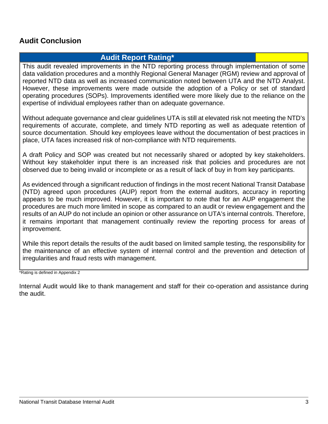### **Audit Conclusion**

### **Audit Report Rating\***

This audit revealed improvements in the NTD reporting process through implementation of some data validation procedures and a monthly Regional General Manager (RGM) review and approval of reported NTD data as well as increased communication noted between UTA and the NTD Analyst. However, these improvements were made outside the adoption of a Policy or set of standard operating procedures (SOPs). Improvements identified were more likely due to the reliance on the expertise of individual employees rather than on adequate governance.

Without adequate governance and clear guidelines UTA is still at elevated risk not meeting the NTD's requirements of accurate, complete, and timely NTD reporting as well as adequate retention of source documentation. Should key employees leave without the documentation of best practices in place, UTA faces increased risk of non-compliance with NTD requirements.

A draft Policy and SOP was created but not necessarily shared or adopted by key stakeholders. Without key stakeholder input there is an increased risk that policies and procedures are not observed due to being invalid or incomplete or as a result of lack of buy in from key participants.

As evidenced through a significant reduction of findings in the most recent National Transit Database (NTD) agreed upon procedures (AUP) report from the external auditors, accuracy in reporting appears to be much improved. However, it is important to note that for an AUP engagement the procedures are much more limited in scope as compared to an audit or review engagement and the results of an AUP do not include an opinion or other assurance on UTA's internal controls. Therefore, it remains important that management continually review the reporting process for areas of improvement.

While this report details the results of the audit based on limited sample testing, the responsibility for the maintenance of an effective system of internal control and the prevention and detection of irregularities and fraud rests with management.

\*Rating is defined in Appendix 2

Internal Audit would like to thank management and staff for their co-operation and assistance during the audit.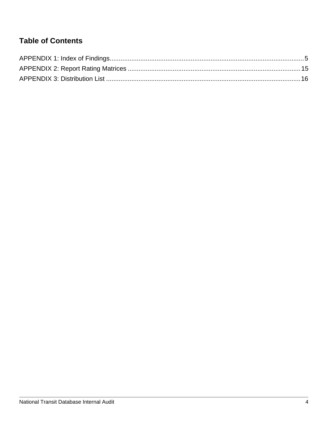### **Table of Contents**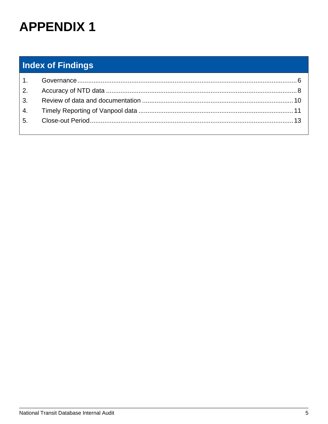# <span id="page-5-0"></span>**Index of Findings**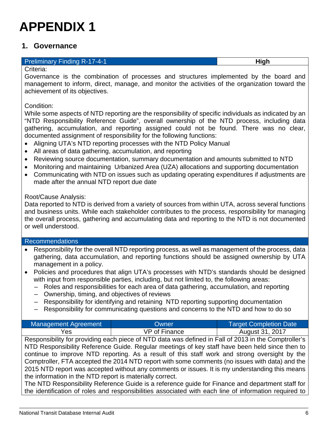### <span id="page-6-0"></span>**1. Governance**

#### **Preliminary Finding R-17-4-1 High High High**

Criteria:

Governance is the combination of processes and structures implemented by the board and management to inform, direct, manage, and monitor the activities of the organization toward the achievement of its objectives.

### Condition:

While some aspects of NTD reporting are the responsibility of specific individuals as indicated by an "NTD Responsibility Reference Guide", overall ownership of the NTD process, including data gathering, accumulation, and reporting assigned could not be found. There was no clear, documented assignment of responsibility for the following functions:

- Aligning UTA's NTD reporting processes with the NTD Policy Manual
- All areas of data gathering, accumulation, and reporting
- Reviewing source documentation, summary documentation and amounts submitted to NTD
- Monitoring and maintaining Urbanized Area (UZA) allocations and supporting documentation
- Communicating with NTD on issues such as updating operating expenditures if adjustments are made after the annual NTD report due date

### Root/Cause Analysis:

Data reported to NTD is derived from a variety of sources from within UTA, across several functions and business units. While each stakeholder contributes to the process, responsibility for managing the overall process, gathering and accumulating data and reporting to the NTD is not documented or well understood.

#### Recommendations

- Responsibility for the overall NTD reporting process, as well as management of the process, data gathering, data accumulation, and reporting functions should be assigned ownership by UTA management in a policy.
- Policies and procedures that align UTA's processes with NTD's standards should be designed with input from responsible parties, including, but not limited to, the following areas:
	- Roles and responsibilities for each area of data gathering, accumulation, and reporting
	- Ownership, timing, and objectives of reviews
	- Responsibility for identifying and retaining NTD reporting supporting documentation
	- Responsibility for communicating questions and concerns to the NTD and how to do so

| Management Agreement | Owner         | Target Completion Date |
|----------------------|---------------|------------------------|
| Yes                  | VP of Finance | August 31, 2017        |

Responsibility for providing each piece of NTD data was defined in Fall of 2013 in the Comptroller's NTD Responsibility Reference Guide. Regular meetings of key staff have been held since then to continue to improve NTD reporting. As a result of this staff work and strong oversight by the Comptroller, FTA accepted the 2014 NTD report with some comments (no issues with data) and the 2015 NTD report was accepted without any comments or issues. It is my understanding this means the information in the NTD report is materially correct.

The NTD Responsibility Reference Guide is a reference guide for Finance and department staff for the identification of roles and responsibilities associated with each line of information required to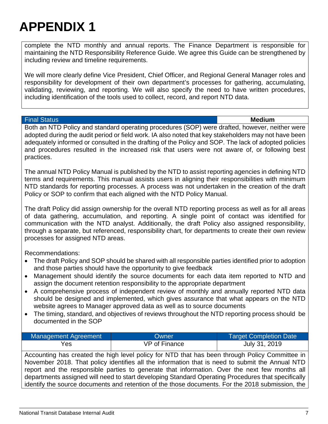complete the NTD monthly and annual reports. The Finance Department is responsible for maintaining the NTD Responsibility Reference Guide. We agree this Guide can be strengthened by including review and timeline requirements.

We will more clearly define Vice President, Chief Officer, and Regional General Manager roles and responsibility for development of their own department's processes for gathering, accumulating, validating, reviewing, and reporting. We will also specify the need to have written procedures, including identification of the tools used to collect, record, and report NTD data.

#### Final Status **Medium**

Both an NTD Policy and standard operating procedures (SOP) were drafted, however, neither were adopted during the audit period or field work. IA also noted that key stakeholders may not have been adequately informed or consulted in the drafting of the Policy and SOP. The lack of adopted policies and procedures resulted in the increased risk that users were not aware of, or following best practices.

The annual NTD Policy Manual is published by the NTD to assist reporting agencies in defining NTD terms and requirements. This manual assists users in aligning their responsibilities with minimum NTD standards for reporting processes. A process was not undertaken in the creation of the draft Policy or SOP to confirm that each aligned with the NTD Policy Manual.

The draft Policy did assign ownership for the overall NTD reporting process as well as for all areas of data gathering, accumulation, and reporting. A single point of contact was identified for communication with the NTD analyst. Additionally, the draft Policy also assigned responsibility, through a separate, but referenced, responsibility chart, for departments to create their own review processes for assigned NTD areas.

Recommendations:

- The draft Policy and SOP should be shared with all responsible parties identified prior to adoption and those parties should have the opportunity to give feedback
- Management should identify the source documents for each data item reported to NTD and assign the document retention responsibility to the appropriate department
- A comprehensive process of independent review of monthly and annually reported NTD data should be designed and implemented, which gives assurance that what appears on the NTD website agrees to Manager approved data as well as to source documents
- The timing, standard, and objectives of reviews throughout the NTD reporting process should be documented in the SOP

| Management Agreement | Owner         | <b>Target Completion Date</b> |
|----------------------|---------------|-------------------------------|
| Yes                  | VP of Finance | July 31, 2019                 |

Accounting has created the high level policy for NTD that has been through Policy Committee in November 2018. That policy identifies all the information that is need to submit the Annual NTD report and the responsible parties to generate that information. Over the next few months all departments assigned will need to start developing Standard Operating Procedures that specifically identify the source documents and retention of the those documents. For the 2018 submission, the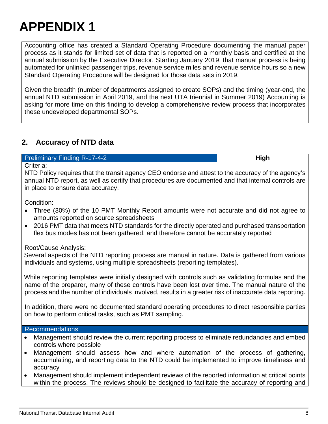Accounting office has created a Standard Operating Procedure documenting the manual paper process as it stands for limited set of data that is reported on a monthly basis and certified at the annual submission by the Executive Director. Starting January 2019, that manual process is being automated for unlinked passenger trips, revenue service miles and revenue service hours so a new Standard Operating Procedure will be designed for those data sets in 2019.

Given the breadth (number of departments assigned to create SOPs) and the timing (year-end, the annual NTD submission in April 2019, and the next UTA triennial in Summer 2019) Accounting is asking for more time on this finding to develop a comprehensive review process that incorporates these undeveloped departmental SOPs.

### <span id="page-8-0"></span>**2. Accuracy of NTD data**

#### **Preliminary Finding R-17-4-2 High High**

Criteria:

NTD Policy requires that the transit agency CEO endorse and attest to the accuracy of the agency's annual NTD report, as well as certify that procedures are documented and that internal controls are in place to ensure data accuracy.

Condition:

- Three (30%) of the 10 PMT Monthly Report amounts were not accurate and did not agree to amounts reported on source spreadsheets
- 2016 PMT data that meets NTD standards for the directly operated and purchased transportation flex bus modes has not been gathered, and therefore cannot be accurately reported

Root/Cause Analysis:

Several aspects of the NTD reporting process are manual in nature. Data is gathered from various individuals and systems, using multiple spreadsheets (reporting templates).

While reporting templates were initially designed with controls such as validating formulas and the name of the preparer, many of these controls have been lost over time. The manual nature of the process and the number of individuals involved, results in a greater risk of inaccurate data reporting.

In addition, there were no documented standard operating procedures to direct responsible parties on how to perform critical tasks, such as PMT sampling.

#### Recommendations

- Management should review the current reporting process to eliminate redundancies and embed controls where possible
- Management should assess how and where automation of the process of gathering, accumulating, and reporting data to the NTD could be implemented to improve timeliness and accuracy
- Management should implement independent reviews of the reported information at critical points within the process. The reviews should be designed to facilitate the accuracy of reporting and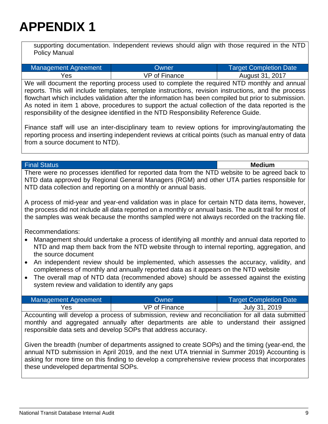supporting documentation. Independent reviews should align with those required in the NTD Policy Manual

| Management Agreement | Owner                | <b>Target Completion Date</b> |
|----------------------|----------------------|-------------------------------|
| Yes                  | <b>VP</b> of Finance | August 31, 2017               |

We will document the reporting process used to complete the required NTD monthly and annual reports. This will include templates, template instructions, revision instructions, and the process flowchart which includes validation after the information has been compiled but prior to submission. As noted in item 1 above, procedures to support the actual collection of the data reported is the responsibility of the designee identified in the NTD Responsibility Reference Guide.

Finance staff will use an inter-disciplinary team to review options for improving/automating the reporting process and inserting independent reviews at critical points (such as manual entry of data from a source document to NTD).

Final Status **Medium**

There were no processes identified for reported data from the NTD website to be agreed back to NTD data approved by Regional General Managers (RGM) and other UTA parties responsible for NTD data collection and reporting on a monthly or annual basis.

A process of mid-year and year-end validation was in place for certain NTD data items, however, the process did not include all data reported on a monthly or annual basis. The audit trail for most of the samples was weak because the months sampled were not always recorded on the tracking file.

Recommendations:

- Management should undertake a process of identifying all monthly and annual data reported to NTD and map them back from the NTD website through to internal reporting, aggregation, and the source document
- An independent review should be implemented, which assesses the accuracy, validity, and completeness of monthly and annually reported data as it appears on the NTD website
- The overall map of NTD data (recommended above) should be assessed against the existing system review and validation to identify any gaps

| Management Agreement | <b>Owner</b>         | <b>Target Completion Date</b> |
|----------------------|----------------------|-------------------------------|
| Yes                  | <b>VP of Finance</b> | July 31, 2019                 |

Accounting will develop a process of submission, review and reconciliation for all data submitted monthly and aggregated annually after departments are able to understand their assigned responsible data sets and develop SOPs that address accuracy.

Given the breadth (number of departments assigned to create SOPs) and the timing (year-end, the annual NTD submission in April 2019, and the next UTA triennial in Summer 2019) Accounting is asking for more time on this finding to develop a comprehensive review process that incorporates these undeveloped departmental SOPs.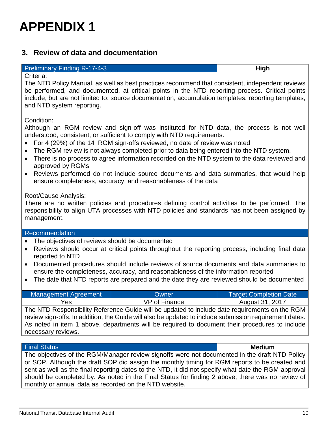### <span id="page-10-0"></span>**3. Review of data and documentation**

#### Preliminary Finding R-17-4-3 **High**

#### Criteria:

The NTD Policy Manual, as well as best practices recommend that consistent, independent reviews be performed, and documented, at critical points in the NTD reporting process. Critical points include, but are not limited to: source documentation, accumulation templates, reporting templates, and NTD system reporting.

Condition:

Although an RGM review and sign-off was instituted for NTD data, the process is not well understood, consistent, or sufficient to comply with NTD requirements.

- For 4 (29%) of the 14 RGM sign-offs reviewed, no date of review was noted
- The RGM review is not always completed prior to data being entered into the NTD system.
- There is no process to agree information recorded on the NTD system to the data reviewed and approved by RGMs
- Reviews performed do not include source documents and data summaries, that would help ensure completeness, accuracy, and reasonableness of the data

### Root/Cause Analysis:

There are no written policies and procedures defining control activities to be performed. The responsibility to align UTA processes with NTD policies and standards has not been assigned by management.

#### Recommendation

- The objectives of reviews should be documented
- Reviews should occur at critical points throughout the reporting process, including final data reported to NTD
- Documented procedures should include reviews of source documents and data summaries to ensure the completeness, accuracy, and reasonableness of the information reported
- The date that NTD reports are prepared and the date they are reviewed should be documented

| Management Agreement | Owner                                                                                          | Target Completion Date |
|----------------------|------------------------------------------------------------------------------------------------|------------------------|
| Yes.                 | VP of Finance                                                                                  | August 31, 2017        |
|                      | The NTD Responsibility Reference Guide will be updated to include date requirements on the RGM |                        |

review sign-offs. In addition, the Guide will also be updated to include submission requirement dates. As noted in item 1 above, departments will be required to document their procedures to include necessary reviews.

#### Final Status **Medium**

The objectives of the RGM/Manager review signoffs were not documented in the draft NTD Policy or SOP. Although the draft SOP did assign the monthly timing for RGM reports to be created and sent as well as the final reporting dates to the NTD, it did not specify what date the RGM approval should be completed by. As noted in the Final Status for finding 2 above, there was no review of monthly or annual data as recorded on the NTD website.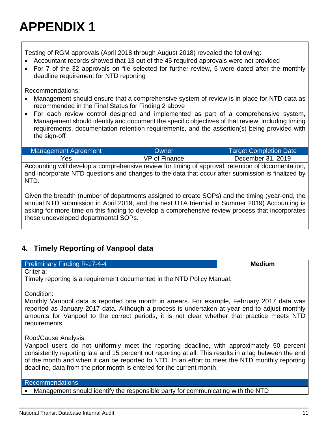Testing of RGM approvals (April 2018 through August 2018) revealed the following:

- Accountant records showed that 13 out of the 45 required approvals were not provided
- For 7 of the 32 approvals on file selected for further review, 5 were dated after the monthly deadline requirement for NTD reporting

Recommendations:

- Management should ensure that a comprehensive system of review is in place for NTD data as recommended in the Final Status for Finding 2 above
- For each review control designed and implemented as part of a comprehensive system, Management should identify and document the specific objectives of that review, including timing requirements, documentation retention requirements, and the assertion(s) being provided with the sign-off

| Management Agreement | Owner                | <b>Target Completion Date</b> |
|----------------------|----------------------|-------------------------------|
| Yes                  | <b>VP of Finance</b> | December 31, 2019             |
|                      |                      |                               |

Accounting will develop a comprehensive review for timing of approval, retention of documentation, and incorporate NTD questions and changes to the data that occur after submission is finalized by NTD.

Given the breadth (number of departments assigned to create SOPs) and the timing (year-end, the annual NTD submission in April 2019, and the next UTA triennial in Summer 2019) Accounting is asking for more time on this finding to develop a comprehensive review process that incorporates these undeveloped departmental SOPs.

# <span id="page-11-0"></span>**4. Timely Reporting of Vanpool data**

**Preliminary Finding R-17-4-4 Medium Medium** 

Criteria:

Timely reporting is a requirement documented in the NTD Policy Manual.

Condition:

Monthly Vanpool data is reported one month in arrears. For example, February 2017 data was reported as January 2017 data. Although a process is undertaken at year end to adjust monthly amounts for Vanpool to the correct periods, it is not clear whether that practice meets NTD requirements.

Root/Cause Analysis:

Vanpool users do not uniformly meet the reporting deadline, with approximately 50 percent consistently reporting late and 15 percent not reporting at all. This results in a lag between the end of the month and when it can be reported to NTD. In an effort to meet the NTD monthly reporting deadline, data from the prior month is entered for the current month.

### Recommendations

• Management should identify the responsible party for communicating with the NTD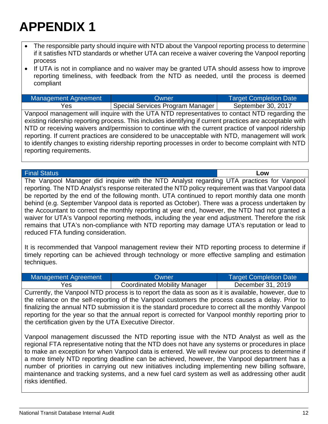- The responsible party should inquire with NTD about the Vanpool reporting process to determine if it satisfies NTD standards or whether UTA can receive a waiver covering the Vanpool reporting process
- If UTA is not in compliance and no waiver may be granted UTA should assess how to improve reporting timeliness, with feedback from the NTD as needed, until the process is deemed compliant

Management Agreement National Completion Date Completion Date Yes Special Services Program Manager | September 30, 2017

Vanpool management will inquire with the UTA NTD representatives to contact NTD regarding the existing ridership reporting process. This includes identifying if current practices are acceptable with NTD or receiving waivers and/permission to continue with the current practice of vanpool ridership reporting. If current practices are considered to be unacceptable with NTD, management will work to identify changes to existing ridership reporting processes in order to become complaint with NTD reporting requirements.

Final Status **Low**

The Vanpool Manager did inquire with the NTD Analyst regarding UTA practices for Vanpool reporting. The NTD Analyst's response reiterated the NTD policy requirement was that Vanpool data be reported by the end of the following month. UTA continued to report monthly data one month behind (e.g. September Vanpool data is reported as October). There was a process undertaken by the Accountant to correct the monthly reporting at year end, however, the NTD had not granted a waiver for UTA's Vanpool reporting methods, including the year end adjustment. Therefore the risk remains that UTA's non-compliance with NTD reporting may damage UTA's reputation or lead to reduced FTA funding consideration.

It is recommended that Vanpool management review their NTD reporting process to determine if timely reporting can be achieved through technology or more effective sampling and estimation techniques.

| Management Agreement                                   | Owner                                                                                                | <b>Target Completion Date</b> |
|--------------------------------------------------------|------------------------------------------------------------------------------------------------------|-------------------------------|
| Yes                                                    | <b>Coordinated Mobility Manager</b>                                                                  | December 31, 2019             |
|                                                        | Currently, the Vanpool NTD process is to report the data as soon as it is available, however, due to |                               |
|                                                        | the reliance on the self-reporting of the Vanpool customers the process causes a delay. Prior to     |                               |
|                                                        | finalizing the annual NTD submission it is the standard procedure to correct all the monthly Vanpool |                               |
|                                                        | reporting for the year so that the annual report is corrected for Vanpool monthly reporting prior to |                               |
| the certification given by the UTA Executive Director. |                                                                                                      |                               |

Vanpool management discussed the NTD reporting issue with the NTD Analyst as well as the regional FTA representative noting that the NTD does not have any systems or procedures in place to make an exception for when Vanpool data is entered. We will review our process to determine if a more timely NTD reporting deadline can be achieved, however, the Vanpool department has a number of priorities in carrying out new initiatives including implementing new billing software, maintenance and tracking systems, and a new fuel card system as well as addressing other audit risks identified.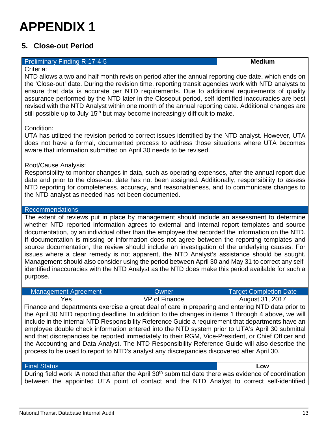### <span id="page-13-0"></span>**5. Close-out Period**

#### **Preliminary Finding R-17-4-5 Medium Medium**

Criteria:

NTD allows a two and half month revision period after the annual reporting due date, which ends on the 'Close-out' date. During the revision time, reporting transit agencies work with NTD analysts to ensure that data is accurate per NTD requirements. Due to additional requirements of quality assurance performed by the NTD later in the Closeout period, self-identified inaccuracies are best revised with the NTD Analyst within one month of the annual reporting date. Additional changes are still possible up to July 15<sup>th</sup> but may become increasingly difficult to make.

#### Condition:

UTA has utilized the revision period to correct issues identified by the NTD analyst. However, UTA does not have a formal, documented process to address those situations where UTA becomes aware that information submitted on April 30 needs to be revised.

#### Root/Cause Analysis:

Responsibility to monitor changes in data, such as operating expenses, after the annual report due date and prior to the close-out date has not been assigned. Additionally, responsibility to assess NTD reporting for completeness, accuracy, and reasonableness, and to communicate changes to the NTD analyst as needed has not been documented.

#### Recommendations

The extent of reviews put in place by management should include an assessment to determine whether NTD reported information agrees to external and internal report templates and source documentation, by an individual other than the employee that recorded the information on the NTD. If documentation is missing or information does not agree between the reporting templates and source documentation, the review should include an investigation of the underlying causes. For issues where a clear remedy is not apparent, the NTD Analyst's assistance should be sought. Management should also consider using the period between April 30 and May 31 to correct any selfidentified inaccuracies with the NTD Analyst as the NTD does make this period available for such a purpose.

| Management Agreement | Owner                | Target Completion Date |
|----------------------|----------------------|------------------------|
| Yes                  | <b>VP of Finance</b> | August 31, 2017        |

Finance and departments exercise a great deal of care in preparing and entering NTD data prior to the April 30 NTD reporting deadline. In addition to the changes in items 1 through 4 above, we will include in the internal NTD Responsibility Reference Guide a requirement that departments have an employee double check information entered into the NTD system prior to UTA's April 30 submittal and that discrepancies be reported immediately to their RGM, Vice-President, or Chief Officer and the Accounting and Data Analyst. The NTD Responsibility Reference Guide will also describe the process to be used to report to NTD's analyst any discrepancies discovered after April 30.

#### Final Status **Low**

During field work IA noted that after the April 30<sup>th</sup> submittal date there was evidence of coordination between the appointed UTA point of contact and the NTD Analyst to correct self-identified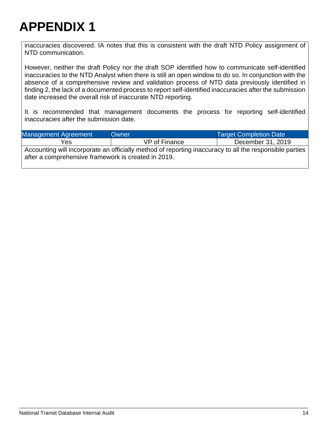inaccuracies discovered. IA notes that this is consistent with the draft NTD Policy assignment of NTD communication.

However, neither the draft Policy nor the draft SOP identified how to communicate self-identified inaccuracies to the NTD Analyst when there is still an open window to do so. In conjunction with the absence of a comprehensive review and validation process of NTD data previously identified in finding 2, the lack of a documented process to report self-identified inaccuracies after the submission date increased the overall risk of inaccurate NTD reporting.

It is recommended that management documents the process for reporting self-identified inaccuracies after the submission date.

| Management Agreement                                | Owner                                                                                                   | <b>Target Completion Date</b> |
|-----------------------------------------------------|---------------------------------------------------------------------------------------------------------|-------------------------------|
| Yes                                                 | VP of Finance                                                                                           | December 31, 2019             |
| after a comprehensive framework is created in 2019. | Accounting will incorporate an officially method of reporting inaccuracy to all the responsible parties |                               |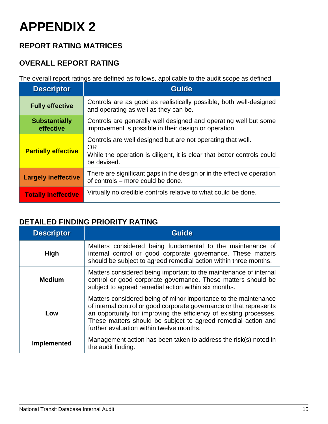# **REPORT RATING MATRICES**

# **OVERALL REPORT RATING**

The overall report ratings are defined as follows, applicable to the audit scope as defined

| <b>Descriptor</b>                 | <b>Guide</b>                                                                                                                                                       |
|-----------------------------------|--------------------------------------------------------------------------------------------------------------------------------------------------------------------|
| <b>Fully effective</b>            | Controls are as good as realistically possible, both well-designed<br>and operating as well as they can be.                                                        |
| <b>Substantially</b><br>effective | Controls are generally well designed and operating well but some<br>improvement is possible in their design or operation.                                          |
| <b>Partially effective</b>        | Controls are well designed but are not operating that well.<br><b>OR</b><br>While the operation is diligent, it is clear that better controls could<br>be devised. |
| <b>Largely ineffective</b>        | There are significant gaps in the design or in the effective operation<br>of controls – more could be done.                                                        |
| <b>Totally ineffective</b>        | Virtually no credible controls relative to what could be done.                                                                                                     |

### **DETAILED FINDING PRIORITY RATING**

| <b>Descriptor</b>  | <b>Guide</b>                                                                                                                                                                                                                                                                                                              |  |  |
|--------------------|---------------------------------------------------------------------------------------------------------------------------------------------------------------------------------------------------------------------------------------------------------------------------------------------------------------------------|--|--|
| <b>High</b>        | Matters considered being fundamental to the maintenance of<br>internal control or good corporate governance. These matters<br>should be subject to agreed remedial action within three months.                                                                                                                            |  |  |
| <b>Medium</b>      | Matters considered being important to the maintenance of internal<br>control or good corporate governance. These matters should be<br>subject to agreed remedial action within six months.                                                                                                                                |  |  |
| Low                | Matters considered being of minor importance to the maintenance<br>of internal control or good corporate governance or that represents<br>an opportunity for improving the efficiency of existing processes.<br>These matters should be subject to agreed remedial action and<br>further evaluation within twelve months. |  |  |
| <b>Implemented</b> | Management action has been taken to address the risk(s) noted in<br>the audit finding.                                                                                                                                                                                                                                    |  |  |